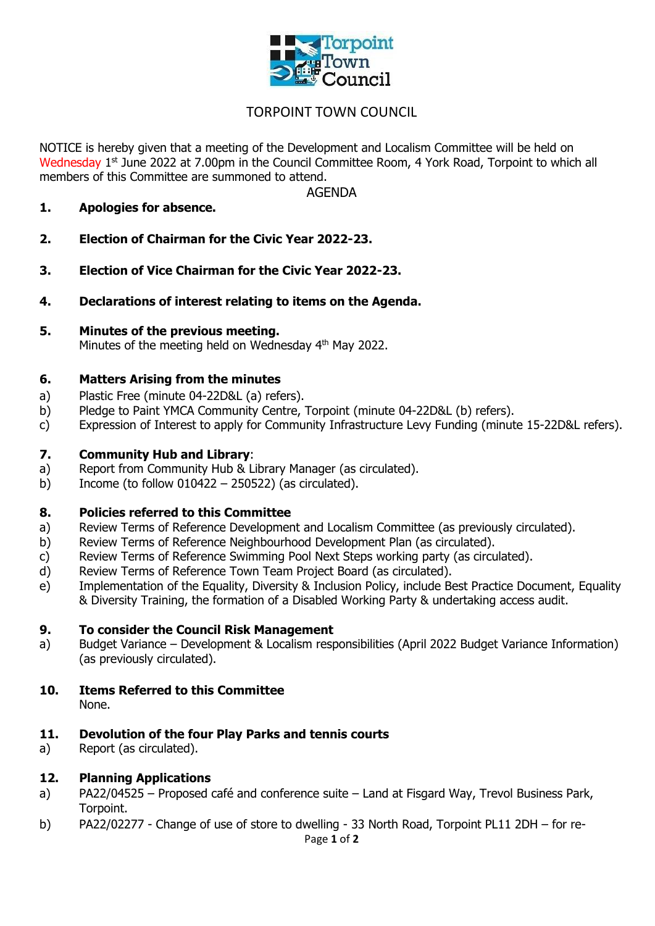

# TORPOINT TOWN COUNCIL

NOTICE is hereby given that a meeting of the Development and Localism Committee will be held on Wednesday 1<sup>st</sup> June 2022 at 7.00pm in the Council Committee Room, 4 York Road, Torpoint to which all members of this Committee are summoned to attend.

AGENDA

- **1. Apologies for absence.**
- **2. Election of Chairman for the Civic Year 2022-23.**
- **3. Election of Vice Chairman for the Civic Year 2022-23.**
- **4. Declarations of interest relating to items on the Agenda.**
- **5. Minutes of the previous meeting.** Minutes of the meeting held on Wednesday 4<sup>th</sup> May 2022.

#### **6. Matters Arising from the minutes**

- a) Plastic Free (minute 04-22D&L (a) refers).
- b) Pledge to Paint YMCA Community Centre, Torpoint (minute 04-22D&L (b) refers).
- c) Expression of Interest to apply for Community Infrastructure Levy Funding (minute 15-22D&L refers).

#### **7. Community Hub and Library**:

- a) Report from Community Hub & Library Manager (as circulated).
- b) Income (to follow  $010422 250522$ ) (as circulated).

#### **8. Policies referred to this Committee**

- a) Review Terms of Reference Development and Localism Committee (as previously circulated).
- b) Review Terms of Reference Neighbourhood Development Plan (as circulated).
- c) Review Terms of Reference Swimming Pool Next Steps working party (as circulated).
- d) Review Terms of Reference Town Team Project Board (as circulated).
- e) Implementation of the Equality, Diversity & Inclusion Policy, include Best Practice Document, Equality & Diversity Training, the formation of a Disabled Working Party & undertaking access audit.

#### **9. To consider the Council Risk Management**

a) Budget Variance – Development & Localism responsibilities (April 2022 Budget Variance Information) (as previously circulated).

#### **10. Items Referred to this Committee** None.

# **11. Devolution of the four Play Parks and tennis courts**

a) Report (as circulated).

### **12. Planning Applications**

- a) PA22/04525 Proposed café and conference suite Land at Fisgard Way, Trevol Business Park, Torpoint.
- b) PA22/02277 Change of use of store to dwelling 33 North Road, Torpoint PL11 2DH for re-